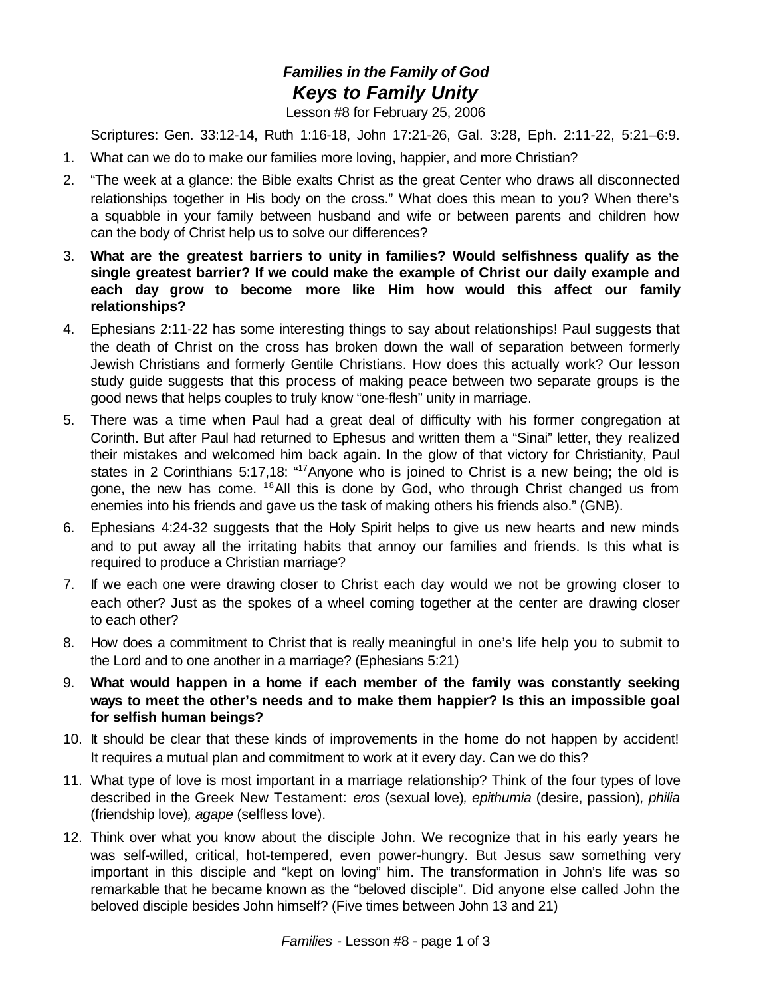## *Families in the Family of God Keys to Family Unity*

Lesson #8 for February 25, 2006

Scriptures: Gen. 33:12-14, Ruth 1:16-18, John 17:21-26, Gal. 3:28, Eph. 2:11-22, 5:21–6:9.

- 1. What can we do to make our families more loving, happier, and more Christian?
- 2. "The week at a glance: the Bible exalts Christ as the great Center who draws all disconnected relationships together in His body on the cross." What does this mean to you? When there's a squabble in your family between husband and wife or between parents and children how can the body of Christ help us to solve our differences?
- 3. **What are the greatest barriers to unity in families? Would selfishness qualify as the single greatest barrier? If we could make the example of Christ our daily example and each day grow to become more like Him how would this affect our family relationships?**
- 4. Ephesians 2:11-22 has some interesting things to say about relationships! Paul suggests that the death of Christ on the cross has broken down the wall of separation between formerly Jewish Christians and formerly Gentile Christians. How does this actually work? Our lesson study guide suggests that this process of making peace between two separate groups is the good news that helps couples to truly know "one-flesh" unity in marriage.
- 5. There was a time when Paul had a great deal of difficulty with his former congregation at Corinth. But after Paul had returned to Ephesus and written them a "Sinai" letter, they realized their mistakes and welcomed him back again. In the glow of that victory for Christianity, Paul states in 2 Corinthians 5:17,18: "<sup>17</sup> Anyone who is joined to Christ is a new being; the old is gone, the new has come. <sup>18</sup>All this is done by God, who through Christ changed us from enemies into his friends and gave us the task of making others his friends also." (GNB).
- 6. Ephesians 4:24-32 suggests that the Holy Spirit helps to give us new hearts and new minds and to put away all the irritating habits that annoy our families and friends. Is this what is required to produce a Christian marriage?
- 7. If we each one were drawing closer to Christ each day would we not be growing closer to each other? Just as the spokes of a wheel coming together at the center are drawing closer to each other?
- 8. How does a commitment to Christ that is really meaningful in one's life help you to submit to the Lord and to one another in a marriage? (Ephesians 5:21)
- 9. **What would happen in a home if each member of the family was constantly seeking ways to meet the other's needs and to make them happier? Is this an impossible goal for selfish human beings?**
- 10. It should be clear that these kinds of improvements in the home do not happen by accident! It requires a mutual plan and commitment to work at it every day. Can we do this?
- 11. What type of love is most important in a marriage relationship? Think of the four types of love described in the Greek New Testament: *eros* (sexual love)*, epithumia* (desire, passion)*, philia* (friendship love)*, agape* (selfless love).
- 12. Think over what you know about the disciple John. We recognize that in his early years he was self-willed, critical, hot-tempered, even power-hungry. But Jesus saw something very important in this disciple and "kept on loving" him. The transformation in John's life was so remarkable that he became known as the "beloved disciple". Did anyone else called John the beloved disciple besides John himself? (Five times between John 13 and 21)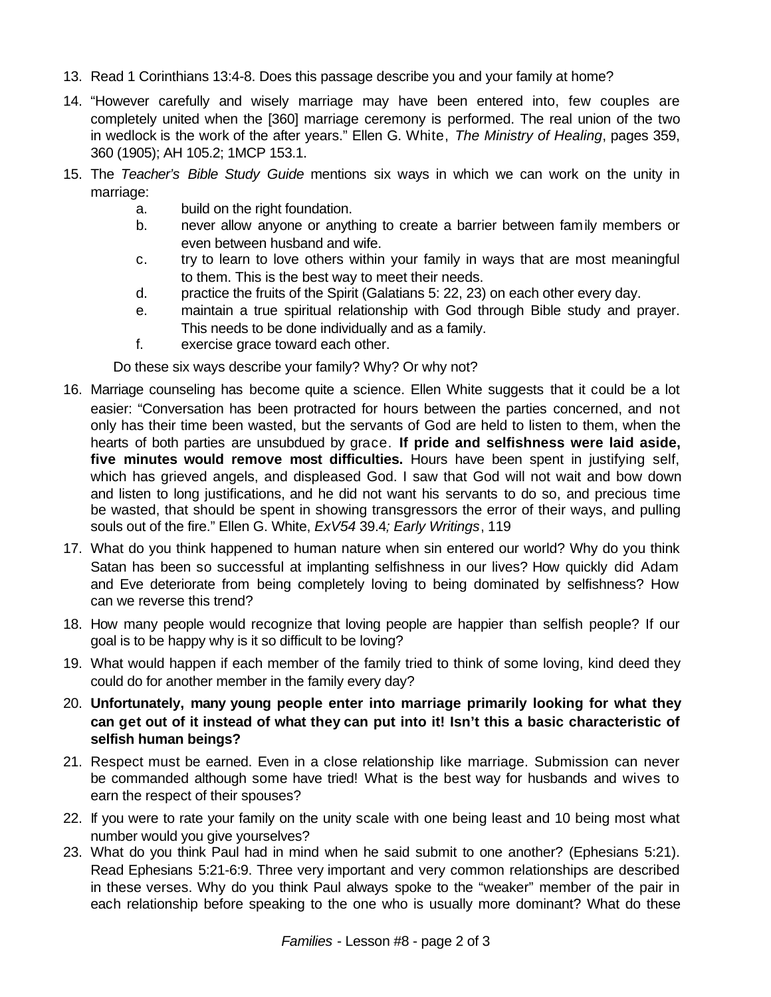- 13. Read 1 Corinthians 13:4-8. Does this passage describe you and your family at home?
- 14. "However carefully and wisely marriage may have been entered into, few couples are completely united when the [360] marriage ceremony is performed. The real union of the two in wedlock is the work of the after years." Ellen G. White, *The Ministry of Healing*, pages 359, 360 (1905); AH 105.2; 1MCP 153.1.
- 15. The *Teacher's Bible Study Guide* mentions six ways in which we can work on the unity in marriage:
	- a. build on the right foundation.
	- b. never allow anyone or anything to create a barrier between family members or even between husband and wife.
	- c. try to learn to love others within your family in ways that are most meaningful to them. This is the best way to meet their needs.
	- d. practice the fruits of the Spirit (Galatians 5: 22, 23) on each other every day.
	- e. maintain a true spiritual relationship with God through Bible study and prayer. This needs to be done individually and as a family.
	- f. exercise grace toward each other.

Do these six ways describe your family? Why? Or why not?

- 16. Marriage counseling has become quite a science. Ellen White suggests that it could be a lot easier: "Conversation has been protracted for hours between the parties concerned, and not only has their time been wasted, but the servants of God are held to listen to them, when the hearts of both parties are unsubdued by grace. **If pride and selfishness were laid aside, five minutes would remove most difficulties.** Hours have been spent in justifying self, which has grieved angels, and displeased God. I saw that God will not wait and bow down and listen to long justifications, and he did not want his servants to do so, and precious time be wasted, that should be spent in showing transgressors the error of their ways, and pulling souls out of the fire." Ellen G. White, *ExV54* 39.4*; Early Writings*, 119
- 17. What do you think happened to human nature when sin entered our world? Why do you think Satan has been so successful at implanting selfishness in our lives? How quickly did Adam and Eve deteriorate from being completely loving to being dominated by selfishness? How can we reverse this trend?
- 18. How many people would recognize that loving people are happier than selfish people? If our goal is to be happy why is it so difficult to be loving?
- 19. What would happen if each member of the family tried to think of some loving, kind deed they could do for another member in the family every day?
- 20. **Unfortunately, many young people enter into marriage primarily looking for what they can get out of it instead of what they can put into it! Isn't this a basic characteristic of selfish human beings?**
- 21. Respect must be earned. Even in a close relationship like marriage. Submission can never be commanded although some have tried! What is the best way for husbands and wives to earn the respect of their spouses?
- 22. If you were to rate your family on the unity scale with one being least and 10 being most what number would you give yourselves?
- 23. What do you think Paul had in mind when he said submit to one another? (Ephesians 5:21). Read Ephesians 5:21-6:9. Three very important and very common relationships are described in these verses. Why do you think Paul always spoke to the "weaker" member of the pair in each relationship before speaking to the one who is usually more dominant? What do these